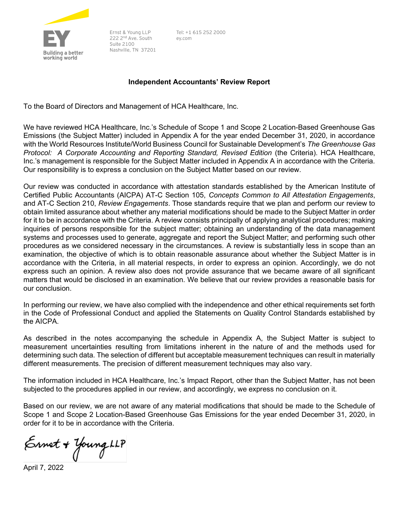

Ernst & Young LLP 222 2<sup>nd</sup> Ave. South **Suite 2100** Nashville, TN 37201 Tel: +1 615 252 2000 ev.com

## Independent Accountants' Review Report

To the Board of Directors and Management of HCA Healthcare, Inc.

We have reviewed HCA Healthcare, Inc.'s Schedule of Scope 1 and Scope 2 Location-Based Greenhouse Gas Emissions (the Subject Matter) included in Appendix A for the year ended December 31, 2020, in accordance with the World Resources Institute/World Business Council for Sustainable Development's The Greenhouse Gas Protocol: A Corporate Accounting and Reporting Standard, Revised Edition (the Criteria). HCA Healthcare, Inc.'s management is responsible for the Subject Matter included in Appendix A in accordance with the Criteria. Our responsibility is to express a conclusion on the Subject Matter based on our review.

Our review was conducted in accordance with attestation standards established by the American Institute of Certified Public Accountants (AICPA) AT-C Section 105, Concepts Common to All Attestation Engagements, and AT-C Section 210, Review Engagements. Those standards require that we plan and perform our review to obtain limited assurance about whether any material modifications should be made to the Subject Matter in order for it to be in accordance with the Criteria. A review consists principally of applying analytical procedures; making inquiries of persons responsible for the subject matter; obtaining an understanding of the data management systems and processes used to generate, aggregate and report the Subject Matter; and performing such other procedures as we considered necessary in the circumstances. A review is substantially less in scope than an examination, the objective of which is to obtain reasonable assurance about whether the Subject Matter is in accordance with the Criteria, in all material respects, in order to express an opinion. Accordingly, we do not express such an opinion. A review also does not provide assurance that we became aware of all significant matters that would be disclosed in an examination. We believe that our review provides a reasonable basis for our conclusion.

In performing our review, we have also complied with the independence and other ethical requirements set forth in the Code of Professional Conduct and applied the Statements on Quality Control Standards established by the AICPA.

As described in the notes accompanying the schedule in Appendix A, the Subject Matter is subject to measurement uncertainties resulting from limitations inherent in the nature of and the methods used for determining such data. The selection of different but acceptable measurement techniques can result in materially different measurements. The precision of different measurement techniques may also vary.

The information included in HCA Healthcare, Inc.'s Impact Report, other than the Subject Matter, has not been subjected to the procedures applied in our review, and accordingly, we express no conclusion on it.

Based on our review, we are not aware of any material modifications that should be made to the Schedule of Scope 1 and Scope 2 Location-Based Greenhouse Gas Emissions for the year ended December 31, 2020, in order for it to be in accordance with the Criteria.

Ernet + Young LLP

April 7, 2022